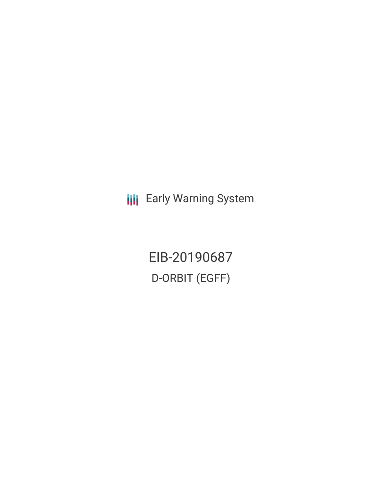**III** Early Warning System

EIB-20190687 D-ORBIT (EGFF)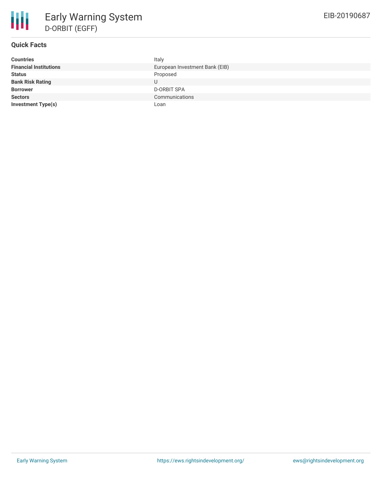# **Quick Facts**

| Italy                          |  |  |  |
|--------------------------------|--|--|--|
| European Investment Bank (EIB) |  |  |  |
| Proposed                       |  |  |  |
| U                              |  |  |  |
| <b>D-ORBIT SPA</b>             |  |  |  |
| Communications                 |  |  |  |
| Loan                           |  |  |  |
|                                |  |  |  |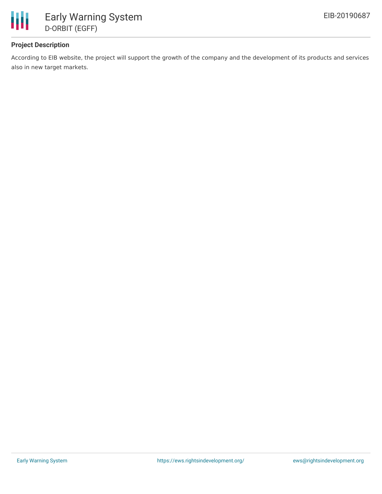

## **Project Description**

According to EIB website, the project will support the growth of the company and the development of its products and services also in new target markets.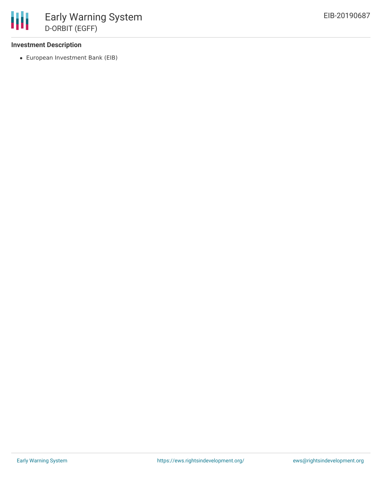#### **Investment Description**

European Investment Bank (EIB)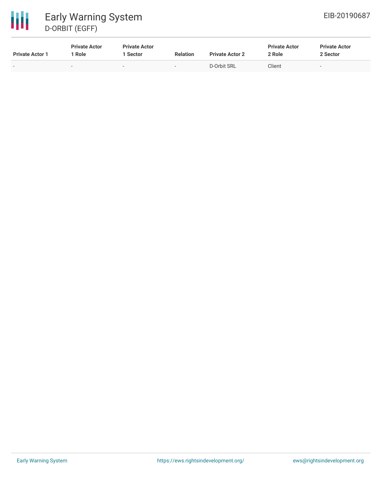# 冊 Early Warning System D-ORBIT (EGFF)

| <b>Private Actor 1</b>   | <b>Private Actor</b><br>Role | <b>Private Actor</b><br>Sector | <b>Relation</b> | <b>Private Actor 2</b> | <b>Private Actor</b><br>2 Role | <b>Private Actor</b><br>2 Sector |
|--------------------------|------------------------------|--------------------------------|-----------------|------------------------|--------------------------------|----------------------------------|
| $\overline{\phantom{0}}$ | $\sim$                       | -                              | $\sim$          | D-Orbit SRL            | Client                         |                                  |